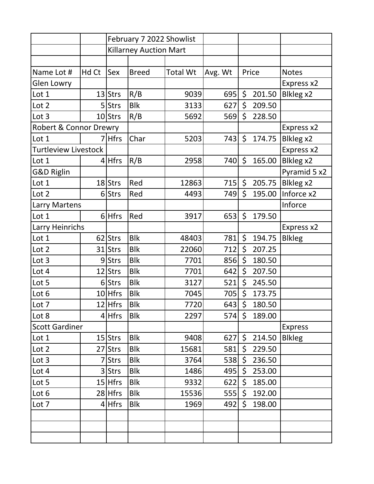|                             |       | February 7 2022 Showlist      |              |                 |         |         |        |                  |
|-----------------------------|-------|-------------------------------|--------------|-----------------|---------|---------|--------|------------------|
|                             |       | <b>Killarney Auction Mart</b> |              |                 |         |         |        |                  |
|                             |       |                               |              |                 |         |         |        |                  |
| Name Lot #                  | Hd Ct | Sex                           | <b>Breed</b> | <b>Total Wt</b> | Avg. Wt |         | Price  | <b>Notes</b>     |
| Glen Lowry                  |       |                               |              |                 |         |         |        | Express x2       |
| Lot 1                       |       | $13$ Strs                     | R/B          | 9039            | 695     | \$      | 201.50 | Blkleg x2        |
| Lot 2                       |       | 5 Strs                        | <b>Blk</b>   | 3133            | 627     | \$      | 209.50 |                  |
| Lot 3                       |       | $10$ Strs                     | R/B          | 5692            | 569     | \$      | 228.50 |                  |
| Robert & Connor Drewry      |       |                               |              |                 |         |         |        | Express x2       |
| Lot 1                       |       | <b>Hfrs</b>                   | Char         | 5203            | 743     | \$      | 174.75 | Blkleg x2        |
| <b>Turtleview Livestock</b> |       |                               |              |                 |         |         |        | Express x2       |
| Lot 1                       |       | $4$ Hfrs                      | R/B          | 2958            | 740     | $\zeta$ | 165.00 | Blkleg x2        |
| <b>G&amp;D Riglin</b>       |       |                               |              |                 |         |         |        | Pyramid 5 x2     |
| Lot 1                       |       | $18$ Strs                     | Red          | 12863           | 715     | \$      | 205.75 | <b>Blkleg x2</b> |
| Lot 2                       |       | 6 Strs                        | Red          | 4493            | 749     | \$      | 195.00 | Inforce x2       |
| Larry Martens               |       |                               |              |                 |         |         |        | Inforce          |
| Lot 1                       |       | $6$ Hfrs                      | Red          | 3917            | 653     | $\zeta$ | 179.50 |                  |
| Larry Heinrichs             |       |                               |              |                 |         |         |        | Express x2       |
| Lot 1                       |       | 62 Strs                       | <b>Blk</b>   | 48403           | 781     | \$      | 194.75 | <b>Blkleg</b>    |
| Lot 2                       |       | $31$ Strs                     | <b>Blk</b>   | 22060           | 712     | \$      | 207.25 |                  |
| Lot 3                       |       | 9Strs                         | <b>Blk</b>   | 7701            | 856     | \$      | 180.50 |                  |
| Lot 4                       |       | 12 Strs                       | <b>Blk</b>   | 7701            | 642     | \$      | 207.50 |                  |
| Lot 5                       |       | 6Strs                         | <b>Blk</b>   | 3127            | 521     | \$      | 245.50 |                  |
| Lot 6                       |       | $10$ Hfrs                     | <b>Blk</b>   | 7045            | 705     | \$      | 173.75 |                  |
| Lot 7                       |       | 12 Hfrs                       | <b>Blk</b>   | 7720            | 643     | \$      | 180.50 |                  |
| Lot 8                       |       | $4$ Hfrs                      | <b>Blk</b>   | 2297            | 574     | $\zeta$ | 189.00 |                  |
| <b>Scott Gardiner</b>       |       |                               |              |                 |         |         |        | <b>Express</b>   |
| Lot 1                       |       | $15$ Strs                     | <b>Blk</b>   | 9408            | 627     | \$      | 214.50 | <b>Blkleg</b>    |
| Lot 2                       |       | 27 Strs                       | <b>Blk</b>   | 15681           | 581     | \$      | 229.50 |                  |
| Lot 3                       |       | Strs                          | <b>Blk</b>   | 3764            | 538     | \$      | 236.50 |                  |
| Lot 4                       |       | 3 Strs                        | <b>Blk</b>   | 1486            | 495     | \$      | 253.00 |                  |
| Lot 5                       |       | $15$ Hfrs                     | <b>Blk</b>   | 9332            | 622     | \$      | 185.00 |                  |
| Lot 6                       |       | $28$ Hfrs                     | <b>Blk</b>   | 15536           | 555     | \$      | 192.00 |                  |
| Lot 7                       |       | $4$ Hfrs                      | <b>Blk</b>   | 1969            | 492     | \$      | 198.00 |                  |
|                             |       |                               |              |                 |         |         |        |                  |
|                             |       |                               |              |                 |         |         |        |                  |
|                             |       |                               |              |                 |         |         |        |                  |